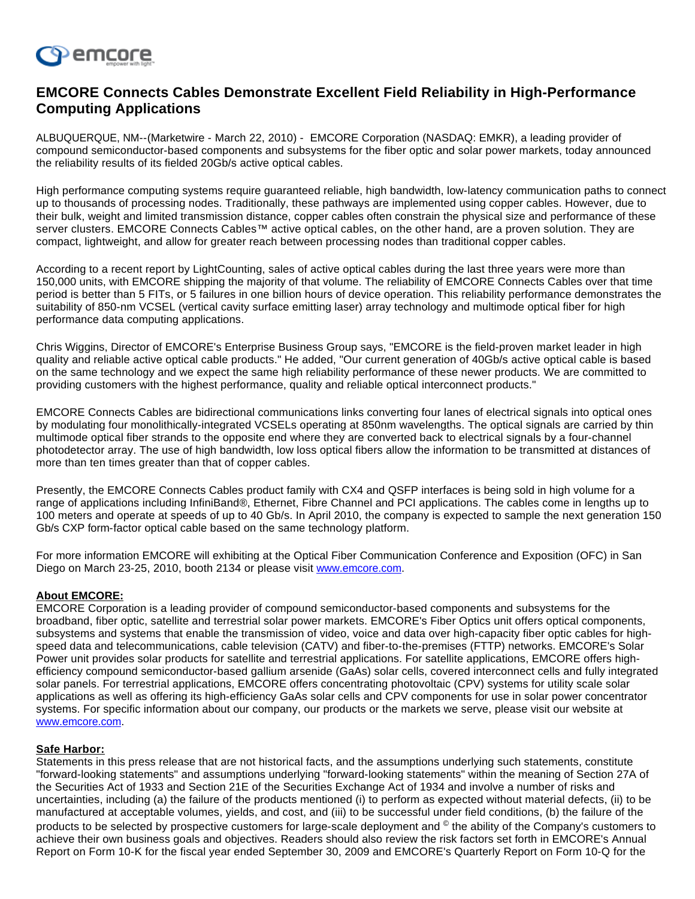

## **EMCORE Connects Cables Demonstrate Excellent Field Reliability in High-Performance Computing Applications**

ALBUQUERQUE, NM--(Marketwire - March 22, 2010) - EMCORE Corporation (NASDAQ: EMKR), a leading provider of compound semiconductor-based components and subsystems for the fiber optic and solar power markets, today announced the reliability results of its fielded 20Gb/s active optical cables.

High performance computing systems require guaranteed reliable, high bandwidth, low-latency communication paths to connect up to thousands of processing nodes. Traditionally, these pathways are implemented using copper cables. However, due to their bulk, weight and limited transmission distance, copper cables often constrain the physical size and performance of these server clusters. EMCORE Connects Cables™ active optical cables, on the other hand, are a proven solution. They are compact, lightweight, and allow for greater reach between processing nodes than traditional copper cables.

According to a recent report by LightCounting, sales of active optical cables during the last three years were more than 150,000 units, with EMCORE shipping the majority of that volume. The reliability of EMCORE Connects Cables over that time period is better than 5 FITs, or 5 failures in one billion hours of device operation. This reliability performance demonstrates the suitability of 850-nm VCSEL (vertical cavity surface emitting laser) array technology and multimode optical fiber for high performance data computing applications.

Chris Wiggins, Director of EMCORE's Enterprise Business Group says, "EMCORE is the field-proven market leader in high quality and reliable active optical cable products." He added, "Our current generation of 40Gb/s active optical cable is based on the same technology and we expect the same high reliability performance of these newer products. We are committed to providing customers with the highest performance, quality and reliable optical interconnect products."

EMCORE Connects Cables are bidirectional communications links converting four lanes of electrical signals into optical ones by modulating four monolithically-integrated VCSELs operating at 850nm wavelengths. The optical signals are carried by thin multimode optical fiber strands to the opposite end where they are converted back to electrical signals by a four-channel photodetector array. The use of high bandwidth, low loss optical fibers allow the information to be transmitted at distances of more than ten times greater than that of copper cables.

Presently, the EMCORE Connects Cables product family with CX4 and QSFP interfaces is being sold in high volume for a range of applications including InfiniBand®, Ethernet, Fibre Channel and PCI applications. The cables come in lengths up to 100 meters and operate at speeds of up to 40 Gb/s. In April 2010, the company is expected to sample the next generation 150 Gb/s CXP form-factor optical cable based on the same technology platform.

For more information EMCORE will exhibiting at the Optical Fiber Communication Conference and Exposition (OFC) in San Diego on March 23-25, 2010, booth 2134 or please visit [www.emcore.com.](http://investor.shareholder.com/common/pdfnew/www.emcore.com)

## **About EMCORE:**

EMCORE Corporation is a leading provider of compound semiconductor-based components and subsystems for the broadband, fiber optic, satellite and terrestrial solar power markets. EMCORE's Fiber Optics unit offers optical components, subsystems and systems that enable the transmission of video, voice and data over high-capacity fiber optic cables for highspeed data and telecommunications, cable television (CATV) and fiber-to-the-premises (FTTP) networks. EMCORE's Solar Power unit provides solar products for satellite and terrestrial applications. For satellite applications, EMCORE offers highefficiency compound semiconductor-based gallium arsenide (GaAs) solar cells, covered interconnect cells and fully integrated solar panels. For terrestrial applications, EMCORE offers concentrating photovoltaic (CPV) systems for utility scale solar applications as well as offering its high-efficiency GaAs solar cells and CPV components for use in solar power concentrator systems. For specific information about our company, our products or the markets we serve, please visit our website at [www.emcore.com.](http://investor.shareholder.com/common/pdfnew/www.emcore.com)

## **Safe Harbor:**

Statements in this press release that are not historical facts, and the assumptions underlying such statements, constitute "forward-looking statements" and assumptions underlying "forward-looking statements" within the meaning of Section 27A of the Securities Act of 1933 and Section 21E of the Securities Exchange Act of 1934 and involve a number of risks and uncertainties, including (a) the failure of the products mentioned (i) to perform as expected without material defects, (ii) to be manufactured at acceptable volumes, yields, and cost, and (iii) to be successful under field conditions, (b) the failure of the products to be selected by prospective customers for large-scale deployment and <sup>©</sup> the ability of the Company's customers to achieve their own business goals and objectives. Readers should also review the risk factors set forth in EMCORE's Annual Report on Form 10-K for the fiscal year ended September 30, 2009 and EMCORE's Quarterly Report on Form 10-Q for the